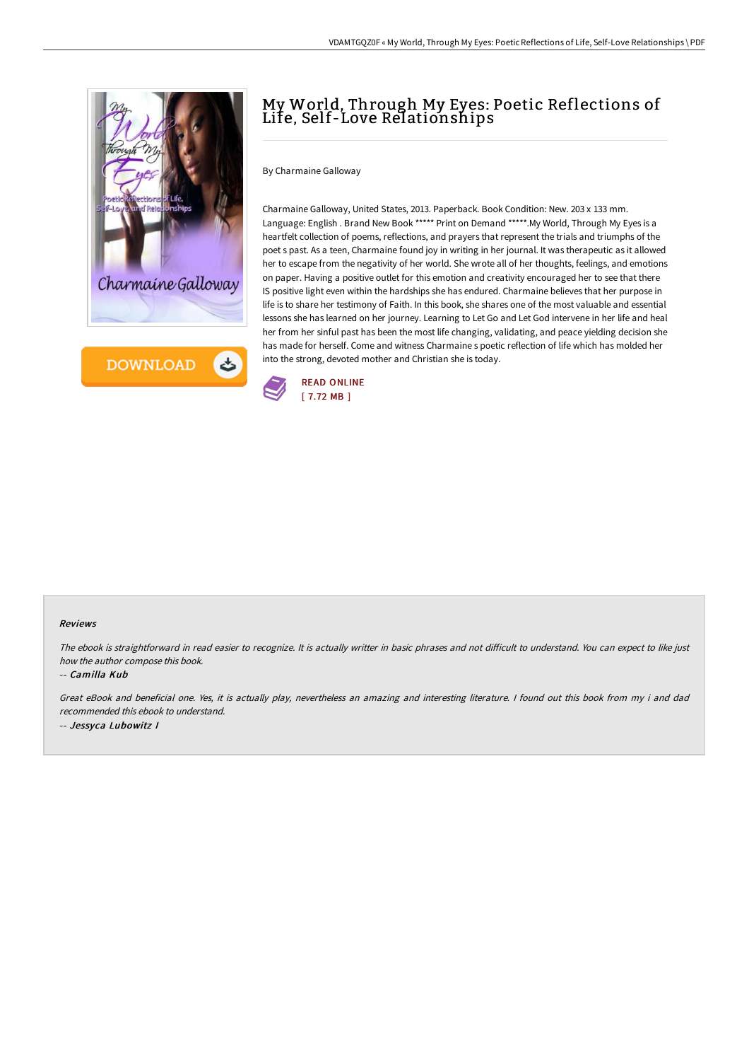



# My World, Through My Eyes: Poetic Reflections of Life, Self-Love Relationships

By Charmaine Galloway

Charmaine Galloway, United States, 2013. Paperback. Book Condition: New. 203 x 133 mm. Language: English . Brand New Book \*\*\*\*\* Print on Demand \*\*\*\*\*. My World, Through My Eyes is a heartfelt collection of poems, reflections, and prayers that represent the trials and triumphs of the poet s past. As a teen, Charmaine found joy in writing in her journal. It was therapeutic as it allowed her to escape from the negativity of her world. She wrote all of her thoughts, feelings, and emotions on paper. Having a positive outlet for this emotion and creativity encouraged her to see that there IS positive light even within the hardships she has endured. Charmaine believes that her purpose in life is to share her testimony of Faith. In this book, she shares one of the most valuable and essential lessons she has learned on her journey. Learning to Let Go and Let God intervene in her life and heal her from her sinful past has been the most life changing, validating, and peace yielding decision she has made for herself. Come and witness Charmaine s poetic reflection of life which has molded her into the strong, devoted mother and Christian she is today.



#### Reviews

The ebook is straightforward in read easier to recognize. It is actually writter in basic phrases and not difficult to understand. You can expect to like just how the author compose this book.

#### -- Camilla Kub

Great eBook and beneficial one. Yes, it is actually play, nevertheless an amazing and interesting literature. <sup>I</sup> found out this book from my i and dad recommended this ebook to understand. -- Jessyca Lubowitz I